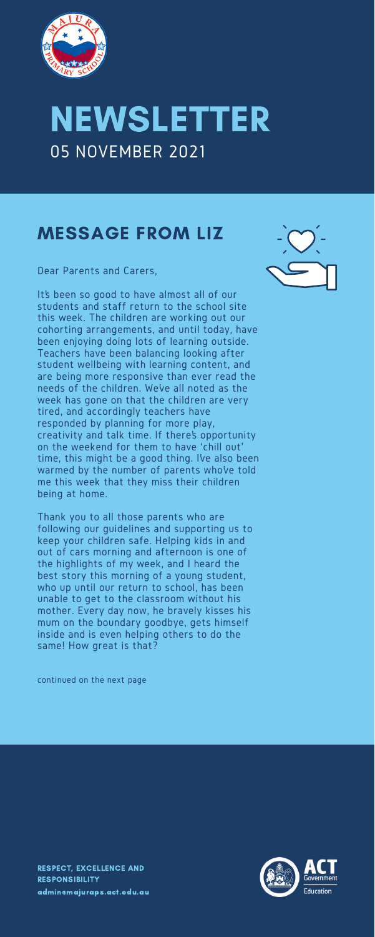

## NEWSLETTER 05 NOVEMBER 2021

Dear Parents and Carers,

It's been so good to have almost all of our students and staff return to the school site this week. The children are working out our cohorting arrangements, and until today, have been enjoying doing lots of learning outside. Teachers have been balancing looking after student wellbeing with learning content, and are being more responsive than ever read the needs of the children. We've all noted as the week has gone on that the children are very tired, and accordingly teachers have responded by planning for more play, creativity and talk time. If there's opportunity on the weekend for them to have 'chill out' time, this might be a good thing. I've also been warmed by the number of parents who've told me this week that they miss their children being at home.

Thank you to all those parents who are following our guidelines and supporting us to keep your children safe. Helping kids in and out of cars morning and afternoon is one of the highlights of my week, and I heard the best story this morning of a young student, who up until our return to school, has been unable to get to the classroom without his mother. Every day now, he bravely kisses his mum on the boundary goodbye, gets himself inside and is even helping others to do the same! How great is that?



continued on the next page

### MESSAGE FROM LIZ

RESPECT, EXCELLENCE AND RESPONSIBILITY [admin@majuraps.act.edu.au](mailto:admin@majuraps.act.edu.au)

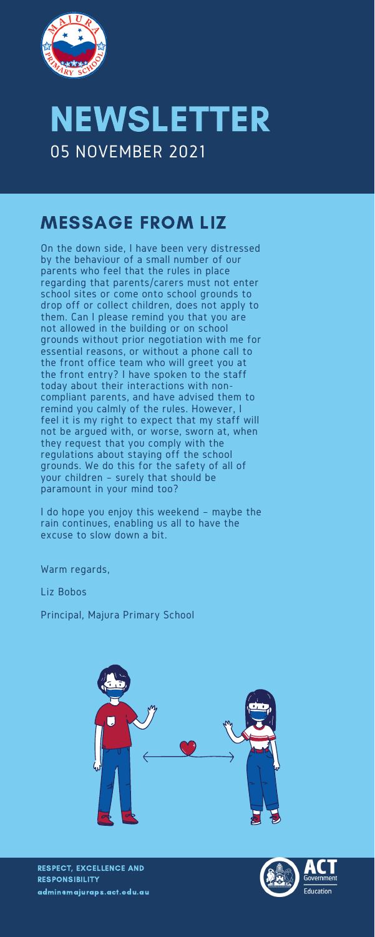

## NEWSLETTER 05 NOVEMBER 2021

On the down side, I have been very distressed by the behaviour of a small number of our parents who feel that the rules in place regarding that parents/carers must not enter school sites or come onto school grounds to drop off or collect children, does not apply to them. Can I please remind you that you are not allowed in the building or on school grounds without prior negotiation with me for essential reasons, or without a phone call to the front office team who will greet you at the front entry? I have spoken to the staff today about their interactions with noncompliant parents, and have advised them to remind you calmly of the rules. However, I feel it is my right to expect that my staff will not be argued with, or worse, sworn at, when they request that you comply with the regulations about staying off the school grounds. We do this for the safety of all of your children – surely that should be paramount in your mind too?

I do hope you enjoy this weekend – maybe the rain continues, enabling us all to have the excuse to slow down a bit.

Warm regards,

Liz Bobos

Principal, Majura Primary School



#### MESSAGE FROM LIZ

RESPECT, EXCELLENCE AND RESPONSIBILITY [admin@majuraps.act.edu.au](mailto:admin@majuraps.act.edu.au)

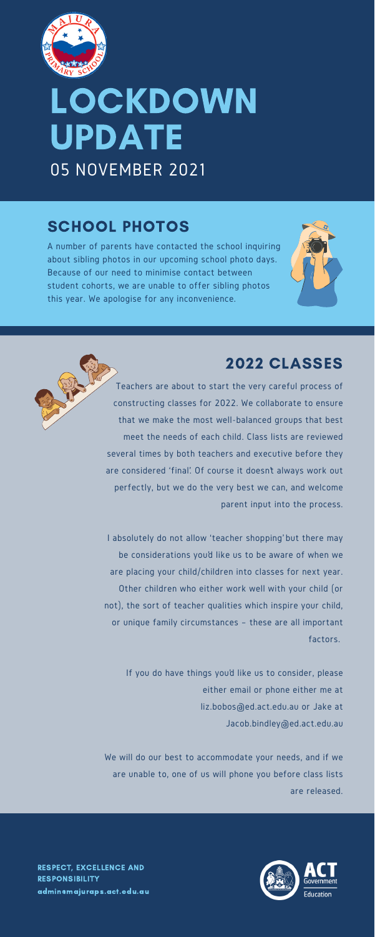

# **LOCKDOWN** UPDATE 05 NOVEMBER 2021

RESPECT, EXCELLENCE AND RESPONSIBILITY [admin@majuraps.act.edu.au](mailto:admin@majuraps.act.edu.au)

A number of parents have contacted the school inquiring about sibling photos in our upcoming school photo days. Because of our need to minimise contact between student cohorts, we are unable to offer sibling photos this year. We apologise for any inconvenience.



#### SCHOOL PHOTOS

Teachers are about to start the very careful process of constructing classes for 2022. We collaborate to ensure that we make the most well-balanced groups that best meet the needs of each child. Class lists are reviewed several times by both teachers and executive before they are considered 'final'. Of course it doesn't always work out perfectly, but we do the very best we can, and welcome parent input into the process.

I absolutely do not allow 'teacher shopping' but there may be considerations you'd like us to be aware of when we

are placing your child/children into classes for next year. Other children who either work well with your child (or not), the sort of teacher qualities which inspire your child, or unique family circumstances – these are all important factors.

If you do have things you'd like us to consider, please either email or phone either me at [liz.bobos@ed.act.edu.au](mailto:liz.bobos@ed.act.edu.au) or Jake at [Jacob.bindley@ed.act.edu.au](mailto:Jacob.bindley@ed.act.edu.au)

We will do our best to accommodate your needs, and if we are unable to, one of us will phone you before class lists are released.



#### 2022 CLASSES